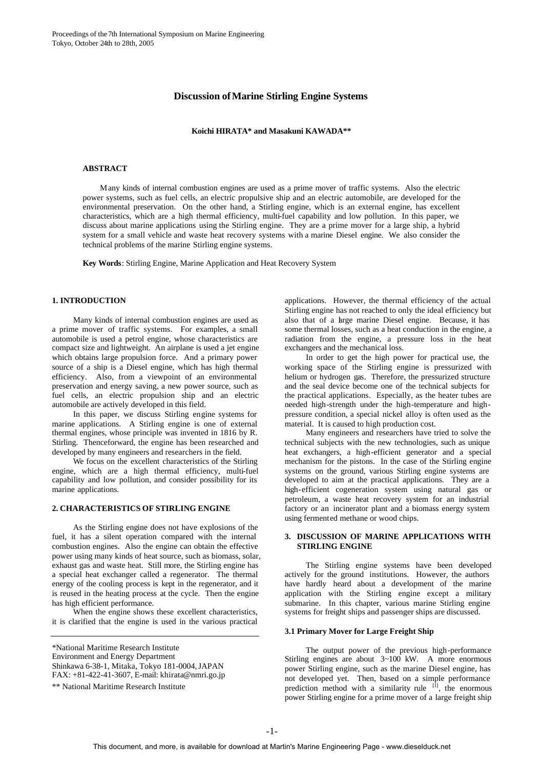# **Discussion ofMarine Stirling Engine Systems**

**Koichi HIRATA\* and Masakuni KAWADA\*\***

# **ABSTRACT**

Many kinds of internal combustion engines are used as a prime mover of traffic systems. Also the electric power systems, such as fuel cells, an electric propulsive ship and an electric automobile, are developed for the environmental preservation. On the other hand, a Stirling engine, which is an external engine, has excellent characteristics, which are a high thermal efficiency, multi-fuel capability and low pollution. In this paper, we discuss about marine applications using the Stirling engine. They are a prime mover for a large ship, a hybrid system for a small vehicle and waste heat recovery systems with a marine Diesel engine. We also consider the technical problems of the marine Stirling engine systems.

**Key Words**: Stirling Engine, Marine Application and Heat Recovery System

### **1. INTRODUCTION**

Many kinds of internal combustion engines are used as a prime mover of traffic systems. For examples, a small automobile is used a petrol engine, whose characteristics are compact size and lightweight. An airplane is used a jet engine which obtains large propulsion force. And a primary power source of a ship is a Diesel engine, which has high thermal efficiency. Also, from a viewpoint of an environmental preservation and energy saving, a new power source, such as fuel cells, an electric propulsion ship and an electric automobile are actively developed in this field.

In this paper, we discuss Stirling engine systems for marine applications. A Stirling engine is one of external thermal engines, whose principle was invented in 1816 by R. Stirling. Thenceforward, the engine has been researched and developed by many engineers and researchers in the field.

We focus on the excellent characteristics of the Stirling engine, which are a high thermal efficiency, multi-fuel capability and low pollution, and consider possibility for its marine applications.

# **2. CHARACTERISTICS OF STIRLING ENGINE**

As the Stirling engine does not have explosions of the fuel, it has a silent operation compared with the internal combustion engines. Also the engine can obtain the effective power using many kinds of heat source, such as biomass, solar, exhaust gas and waste heat. Still more, the Stirling engine has a special heat exchanger called a regenerator. The thermal energy of the cooling process is kept in the regenerator, and it is reused in the heating process at the cycle. Then the engine has high efficient performance.

When the engine shows these excellent characteristics, it is clarified that the engine is used in the various practical

\*National Maritime Research Institute Environment and Energy Department Shinkawa 6-38-1, Mitaka, Tokyo 181-0004, JAPAN FAX: +81-422-41-3607, E-mail: khirata@nmri.go.jp

\*\* National Maritime Research Institute

applications. However, the thermal efficiency of the actual Stirling engine has not reached to only the ideal efficiency but also that of a hrge marine Diesel engine. Because, it has some thermal losses, such as a heat conduction in the engine, a radiation from the engine, a pressure loss in the heat exchangers and the mechanical loss.

In order to get the high power for practical use, the working space of the Stirling engine is pressurized with helium or hydrogen gas. Therefore, the pressurized structure and the seal device become one of the technical subjects for the practical applications. Especially, as the heater tubes are needed high-strength under the high-temperature and highpressure condition, a special nickel alloy is often used as the material. It is caused to high production cost.

Many engineers and researchers have tried to solve the technical subjects with the new technologies, such as unique heat exchangers, a high-efficient generator and a special mechanism for the pistons. In the case of the Stirling engine systems on the ground, various Stirling engine systems are developed to aim at the practical applications. They are a high-efficient cogeneration system using natural gas or petroleum, a waste heat recovery system for an industrial factory or an incinerator plant and a biomass energy system using fermented methane or wood chips.

### **3. DISCUSSION OF MARINE APPLICATIONS WITH STIRLING ENGINE**

The Stirling engine systems have been developed actively for the ground institutions. However, the authors have hardly heard about a development of the marine application with the Stirling engine except a military submarine. In this chapter, various marine Stirling engine systems for freight ships and passenger ships are discussed.

#### **3.1 Primary Mover for Large Freight Ship**

The output power of the previous high-performance Stirling engines are about 3~100 kW. A more enormous power Stirling engine, such as the marine Diesel engine, has not developed yet. Then, based on a simple performance prediction method with a similarity rule  $[1]$ , the enormous power Stirling engine for a prime mover of a large freight ship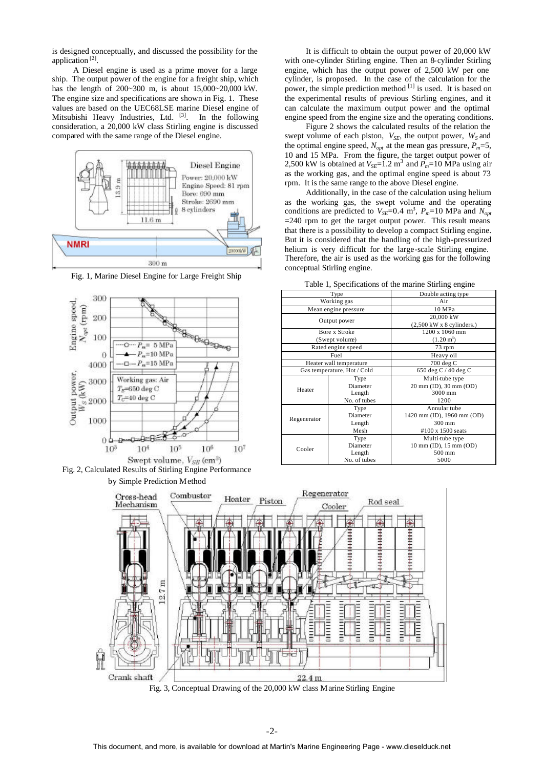is designed conceptually, and discussed the possibility for the application<sup>[2]</sup>.

A Diesel engine is used as a prime mover for a large ship. The output power of the engine for a freight ship, which has the length of 200~300 m, is about 15,000~20,000 kW. The engine size and specifications are shown in Fig. 1. These values are based on the UEC68LSE marine Diesel engine of Mitsubishi Heavy Industries, Ltd. <sup>[3]</sup>. In the following consideration, a 20,000 kW class Stirling engine is discussed compared with the same range of the Diesel engine.



Fig. 1, Marine Diesel Engine for Large Freight Ship





It is difficult to obtain the output power of 20,000 kW with one-cylinder Stirling engine. Then an 8-cylinder Stirling engine, which has the output power of 2,500 kW per one cylinder, is proposed. In the case of the calculation for the power, the simple prediction method [1] is used. It is based on the experimental results of previous Stirling engines, and it can calculate the maximum output power and the optimal engine speed from the engine size and the operating conditions.

Figure 2 shows the calculated results of the relation the swept volume of each piston,  $V_{SE}$ , the output power,  $W_S$  and the optimal engine speed,  $N_{opt}$  at the mean gas pressure,  $P_m = 5$ , 10 and 15 MPa. From the figure, the target output power of 2,500 kW is obtained at  $V_{SE}$ =1.2 m<sup>3</sup> and  $\overline{P}_m$ =10 MPa using air as the working gas, and the optimal engine speed is about 73 rpm. It is the same range to the above Diesel engine.

Additionally, in the case of the calculation using helium as the working gas, the swept volume and the operating conditions are predicted to  $V_{SE}$ =0.4 m<sup>3</sup>,  $P_m$ =10 MPa and  $N_{opt}$ =240 rpm to get the target output power. This result means that there is a possibility to develop a compact Stirling engine. But it is considered that the handling of the high-pressurized helium is very difficult for the large-scale Stirling engine. Therefore, the air is used as the working gas for the following conceptual Stirling engine.

| rable 1, opeenfeations of the marine burning engine |                             |                                                               |  |  |
|-----------------------------------------------------|-----------------------------|---------------------------------------------------------------|--|--|
| Type                                                |                             | Double acting type                                            |  |  |
| Working gas                                         |                             | Air                                                           |  |  |
|                                                     | Mean engine pressure        | 10 MPa                                                        |  |  |
| Output power                                        |                             | 20,000 kW<br>$(2,500 \text{ kW} \times 8 \text{ cylinders.})$ |  |  |
|                                                     | Bore x Stroke               | 1200 x 1060 mm                                                |  |  |
| (Swept volume)                                      |                             | $(1.20 \text{ m}^3)$                                          |  |  |
|                                                     | Rated engine speed          | 73 rpm                                                        |  |  |
| Fuel                                                |                             | Heavy oil                                                     |  |  |
|                                                     | Heater wall temperature     | 700 deg C                                                     |  |  |
|                                                     | Gas temperature, Hot / Cold | 650 deg C / 40 deg C                                          |  |  |
|                                                     | Type                        | Multi-tube type                                               |  |  |
|                                                     |                             |                                                               |  |  |
|                                                     | Diameter                    | 20 mm (ID), 30 mm (OD)                                        |  |  |
| Heater                                              | Length                      | 3000 mm                                                       |  |  |
|                                                     | No. of tubes                | 1200                                                          |  |  |
|                                                     | Type                        | Annular tube                                                  |  |  |
|                                                     | Diameter                    | 1420 mm (ID), 1960 mm (OD)                                    |  |  |
| Regenerator                                         | Length                      | 300 mm                                                        |  |  |
|                                                     | Mesh                        | #100 x 1500 seats                                             |  |  |
|                                                     | Type                        | Multi-tube type                                               |  |  |
|                                                     | Diameter                    | 10 mm (ID), 15 mm (OD)                                        |  |  |
| Cooler                                              | Length                      | 500 mm                                                        |  |  |

Table 1, Specifications of the marine Stirling engine



-2-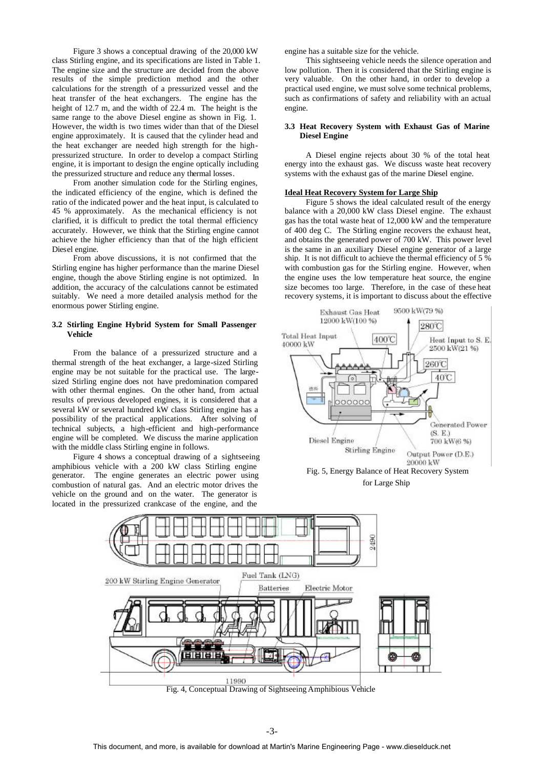Figure 3 shows a conceptual drawing of the 20,000 kW class Stirling engine, and its specifications are listed in Table 1. The engine size and the structure are decided from the above results of the simple prediction method and the other calculations for the strength of a pressurized vessel and the heat transfer of the heat exchangers. The engine has the height of 12.7 m, and the width of 22.4 m. The height is the same range to the above Diesel engine as shown in Fig. 1. However, the width is two times wider than that of the Diesel engine approximately. It is caused that the cylinder head and the heat exchanger are needed high strength for the highpressurized structure. In order to develop a compact Stirling engine, it is important to design the engine optically including the pressurized structure and reduce any thermal losses.

From another simulation code for the Stirling engines, the indicated efficiency of the engine, which is defined the ratio of the indicated power and the heat input, is calculated to 45 % approximately. As the mechanical efficiency is not clarified, it is difficult to predict the total thermal efficiency accurately. However, we think that the Stirling engine cannot achieve the higher efficiency than that of the high efficient Diesel engine.

From above discussions, it is not confirmed that the Stirling engine has higher performance than the marine Diesel engine, though the above Stirling engine is not optimized. In addition, the accuracy of the calculations cannot be estimated suitably. We need a more detailed analysis method for the enormous power Stirling engine.

# **3.2 Stirling Engine Hybrid System for Small Passenger Vehicle**

From the balance of a pressurized structure and a thermal strength of the heat exchanger, a large-sized Stirling engine may be not suitable for the practical use. The largesized Stirling engine does not have predomination compared with other thermal engines. On the other hand, from actual results of previous developed engines, it is considered that a several kW or several hundred kW class Stirling engine has a possibility of the practical applications. After solving of technical subjects, a high-efficient and high-performance engine will be completed. We discuss the marine application with the middle class Stirling engine in follows.

Figure 4 shows a conceptual drawing of a sightseeing amphibious vehicle with a 200 kW class Stirling engine generator. The engine generates an electric power using combustion of natural gas. And an electric motor drives the vehicle on the ground and on the water. The generator is located in the pressurized crankcase of the engine, and the

engine has a suitable size for the vehicle.

This sightseeing vehicle needs the silence operation and low pollution. Then it is considered that the Stirling engine is very valuable. On the other hand, in order to develop a practical used engine, we must solve some technical problems, such as confirmations of safety and reliability with an actual engine.

# **3.3 Heat Recovery System with Exhaust Gas of Marine Diesel Engine**

A Diesel engine rejects about 30 % of the total heat energy into the exhaust gas. We discuss waste heat recovery systems with the exhaust gas of the marine Diesel engine.

#### **Ideal Heat Recovery System for Large Ship**

Figure 5 shows the ideal calculated result of the energy balance with a 20,000 kW class Diesel engine. The exhaust gas has the total waste heat of 12,000 kW and the temperature of 400 deg C. The Stirling engine recovers the exhaust heat, and obtains the generated power of 700 kW. This power level is the same in an auxiliary Diesel engine generator of a large ship. It is not difficult to achieve the thermal efficiency of 5 % with combustion gas for the Stirling engine. However, when the engine uses the low temperature heat source, the engine size becomes too large. Therefore, in the case of these heat recovery systems, it is important to discuss about the effective





Fig. 4, Conceptual Drawing of Sightseeing Amphibious Vehicle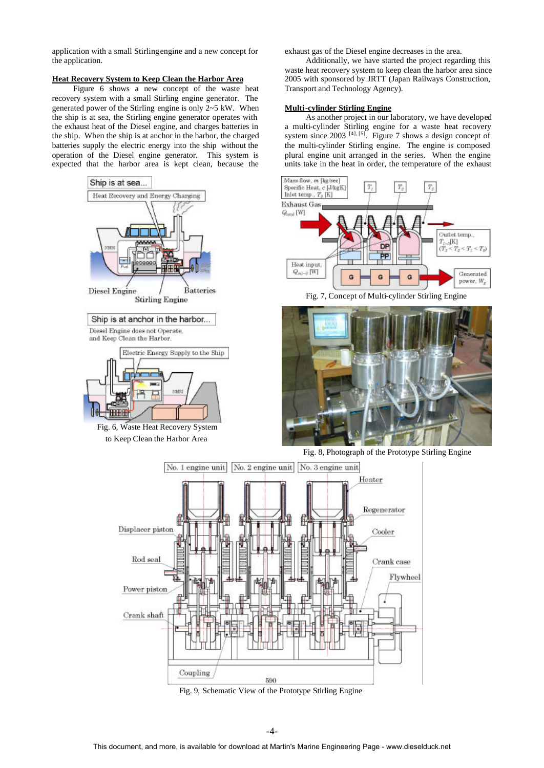application with a small Stirling engine and a new concept for the application.

# **Heat Recovery System to Keep Clean the Harbor Area**

Figure 6 shows a new concept of the waste heat recovery system with a small Stirling engine generator. The generated power of the Stirling engine is only 2~5 kW. When the ship is at sea, the Stirling engine generator operates with the exhaust heat of the Diesel engine, and charges batteries in the ship. When the ship is at anchor in the harbor, the charged batteries supply the electric energy into the ship without the operation of the Diesel engine generator. This system is expected that the harbor area is kept clean, because the



exhaust gas of the Diesel engine decreases in the area.

Transport and Technology Agency).

**Multi-cylinder Stirling Engine**

Additionally, we have started the project regarding this waste heat recovery system to keep clean the harbor area since 2005 with sponsored by JRTT (Japan Railways Construction,

As another project in our laboratory, we have developed a multi-cylinder Stirling engine for a waste heat recovery system since  $2003$  <sup>[4], [5]</sup>. Figure 7 shows a design concept of the multi-cylinder Stirling engine. The engine is composed plural engine unit arranged in the series. When the engine units take in the heat in order, the temperature of the exhaust

> Outlet temp.,  $\frac{T_{T\sim S}[\mathbf{K}]}{(T_S$

 $T_2 \leq T_1 \leq T_0$ 

Generated

power, W.

Fig. 9, Schematic View of the Prototype Stirling Engine